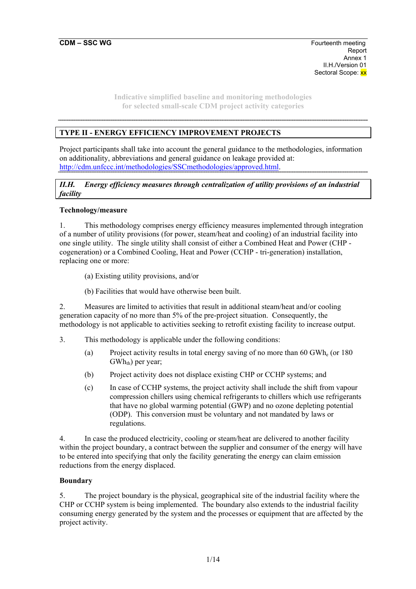# **TYPE II - ENERGY EFFICIENCY IMPROVEMENT PROJECTS**

Project participants shall take into account the general guidance to the methodologies, information on additionality, abbreviations and general guidance on leakage provided at: http://cdm.unfccc.int/methodologies/SSCmethodologies/approved.html.

*II.H. Energy efficiency measures through centralization of utility provisions of an industrial facility* 

### **Technology/measure**

1. This methodology comprises energy efficiency measures implemented through integration of a number of utility provisions (for power, steam/heat and cooling) of an industrial facility into one single utility. The single utility shall consist of either a Combined Heat and Power (CHP cogeneration) or a Combined Cooling, Heat and Power (CCHP - tri-generation) installation, replacing one or more:

- (a) Existing utility provisions, and/or
- (b) Facilities that would have otherwise been built.

2. Measures are limited to activities that result in additional steam/heat and/or cooling generation capacity of no more than 5% of the pre-project situation. Consequently, the methodology is not applicable to activities seeking to retrofit existing facility to increase output.

- 3. This methodology is applicable under the following conditions:
	- (a) Project activity results in total energy saving of no more than 60 GWh<sub>e</sub> (or 180)  $GWh_{th}$ ) per year;
	- (b) Project activity does not displace existing CHP or CCHP systems; and
	- (c) In case of CCHP systems, the project activity shall include the shift from vapour compression chillers using chemical refrigerants to chillers which use refrigerants that have no global warming potential (GWP) and no ozone depleting potential (ODP). This conversion must be voluntary and not mandated by laws or regulations.

4. In case the produced electricity, cooling or steam/heat are delivered to another facility within the project boundary, a contract between the supplier and consumer of the energy will have to be entered into specifying that only the facility generating the energy can claim emission reductions from the energy displaced.

### **Boundary**

5. The project boundary is the physical, geographical site of the industrial facility where the CHP or CCHP system is being implemented. The boundary also extends to the industrial facility consuming energy generated by the system and the processes or equipment that are affected by the project activity.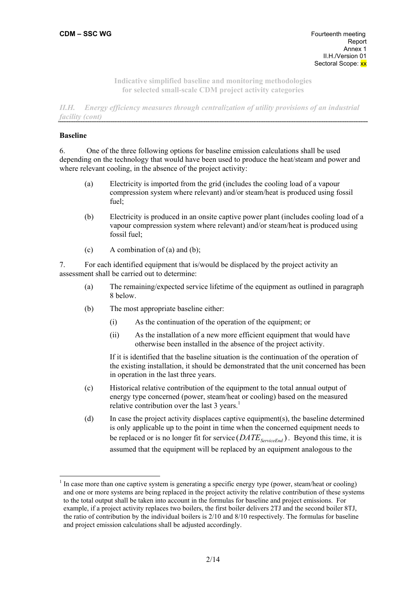*II.H. Energy efficiency measures through centralization of utility provisions of an industrial facility (cont)* 

### **Baseline**

6. One of the three following options for baseline emission calculations shall be used depending on the technology that would have been used to produce the heat/steam and power and where relevant cooling, in the absence of the project activity:

- (a) Electricity is imported from the grid (includes the cooling load of a vapour compression system where relevant) and/or steam/heat is produced using fossil fuel;
- (b) Electricity is produced in an onsite captive power plant (includes cooling load of a vapour compression system where relevant) and/or steam/heat is produced using fossil fuel;
- (c)  $\blacksquare$  A combination of (a) and (b);

7. For each identified equipment that is/would be displaced by the project activity an assessment shall be carried out to determine:

- (a) The remaining/expected service lifetime of the equipment as outlined in paragraph 8 below.
- (b) The most appropriate baseline either:
	- (i) As the continuation of the operation of the equipment; or
	- (ii) As the installation of a new more efficient equipment that would have otherwise been installed in the absence of the project activity.

If it is identified that the baseline situation is the continuation of the operation of the existing installation, it should be demonstrated that the unit concerned has been in operation in the last three years.

- (c) Historical relative contribution of the equipment to the total annual output of energy type concerned (power, steam/heat or cooling) based on the measured relative contribution over the last 3 years.<sup>1</sup>
- (d) In case the project activity displaces captive equipment(s), the baseline determined is only applicable up to the point in time when the concerned equipment needs to be replaced or is no longer fit for service  $(DATE_{Served})$ . Beyond this time, it is assumed that the equipment will be replaced by an equipment analogous to the

<sup>1</sup> In case more than one captive system is generating a specific energy type (power, steam/heat or cooling) and one or more systems are being replaced in the project activity the relative contribution of these systems to the total output shall be taken into account in the formulas for baseline and project emissions. For example, if a project activity replaces two boilers, the first boiler delivers 2TJ and the second boiler 8TJ, the ratio of contribution by the individual boilers is 2/10 and 8/10 respectively. The formulas for baseline and project emission calculations shall be adjusted accordingly.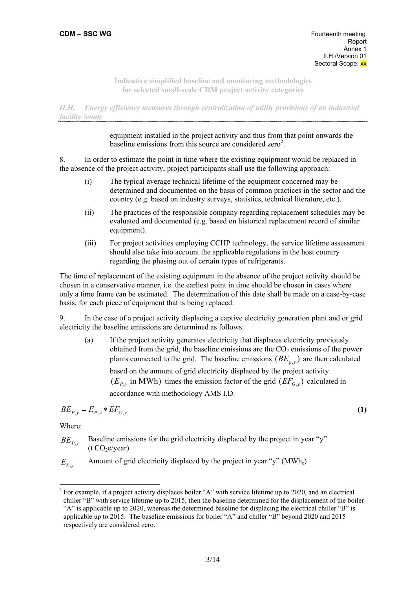*II.H. Energy efficiency measures through centralization of utility provisions of an industrial facility (cont)* 

> equipment installed in the project activity and thus from that point onwards the baseline emissions from this source are considered zero<sup>2</sup>.

8. In order to estimate the point in time where the existing equipment would be replaced in the absence of the project activity, project participants shall use the following approach:

- (i) The typical average technical lifetime of the equipment concerned may be determined and documented on the basis of common practices in the sector and the country (e.g. based on industry surveys, statistics, technical literature, etc.).
- (ii) The practices of the responsible company regarding replacement schedules may be evaluated and documented (e.g. based on historical replacement record of similar equipment).
- (iii) For project activities employing CCHP technology, the service lifetime assessment should also take into account the applicable regulations in the host country regarding the phasing out of certain types of refrigerants.

The time of replacement of the existing equipment in the absence of the project activity should be chosen in a conservative manner, i.e. the earliest point in time should be chosen in cases where only a time frame can be estimated. The determination of this date shall be made on a case-by-case basis, for each piece of equipment that is being replaced.

9. In the case of a project activity displacing a captive electricity generation plant and or grid electricity the baseline emissions are determined as follows:

(a) If the project activity generates electricity that displaces electricity previously obtained from the grid, the baseline emissions are the  $CO<sub>2</sub>$  emissions of the power plants connected to the grid. The baseline emissions  $(BE_{p}$ <sup>*y*</sup> are then calculated based on the amount of grid electricity displaced by the project activity  $(E_{P,y}$  in MWh) times the emission factor of the grid  $(EF_{G,y})$  calculated in accordance with methodology AMS I.D.

$$
BE_{P,y} = E_{P,y} * EF_{G,y} \tag{1}
$$

Where:

- $BE<sub>p,y</sub>$  Baseline emissions for the grid electricity displaced by the project in year "y"  $(t CO<sub>2</sub>e/year)$
- $E_{p_y}$  Amount of grid electricity displaced by the project in year "y" (MWh<sub>e</sub>)

<sup>&</sup>lt;sup>2</sup> For example, if a project activity displaces boiler "A" with service lifetime up to 2020, and an electrical chiller "B" with service lifetime up to 2015, then the baseline determined for the displacement of the boiler "A" is applicable up to 2020, whereas the determined baseline for displacing the electrical chiller "B" is applicable up to 2015. The baseline emissions for boiler "A" and chiller "B" beyond 2020 and 2015 respectively are considered zero.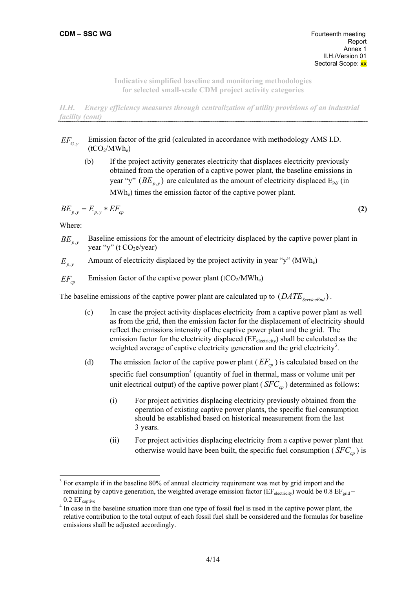*II.H. Energy efficiency measures through centralization of utility provisions of an industrial facility (cont)* 

- *EF<sub>G</sub>*<sub>*y*</sub> Emission factor of the grid (calculated in accordance with methodology AMS I.D.  $(tCO<sub>2</sub>/MWh<sub>e</sub>)$ 
	- (b) If the project activity generates electricity that displaces electricity previously obtained from the operation of a captive power plant, the baseline emissions in year "y"  $(BE_{p,y})$  are calculated as the amount of electricity displaced  $E_{p,y}$  (in MWhe) times the emission factor of the captive power plant.

$$
BE_{p,y} = E_{p,y} * EF_{cp}
$$
\n
$$
\tag{2}
$$

Where:

- $BE_{p,y}$ Baseline emissions for the amount of electricity displaced by the captive power plant in year "y" (t  $CO<sub>2</sub>e/year$ )
- $E_{p,y}$  Amount of electricity displaced by the project activity in year "y" (MWh<sub>e</sub>)

 $EF_{cn}$  Emission factor of the captive power plant (tCO<sub>2</sub>/MWh<sub>e</sub>)

The baseline emissions of the captive power plant are calculated up to  $(DATE_{S_{\text{e}principle}})$ .

- (c) In case the project activity displaces electricity from a captive power plant as well as from the grid, then the emission factor for the displacement of electricity should reflect the emissions intensity of the captive power plant and the grid. The emission factor for the electricity displaced  $(EF_{\text{electricity}})$  shall be calculated as the weighted average of captive electricity generation and the grid electricity<sup>3</sup>.
- (d) The emission factor of the captive power plant  $(EF_{c\rho})$  is calculated based on the specific fuel consumption<sup>4</sup> (quantity of fuel in thermal, mass or volume unit per unit electrical output) of the captive power plant ( $SFC<sub>cn</sub>$ ) determined as follows:
	- (i) For project activities displacing electricity previously obtained from the operation of existing captive power plants, the specific fuel consumption should be established based on historical measurement from the last 3 years.
	- (ii) For project activities displacing electricity from a captive power plant that otherwise would have been built, the specific fuel consumption ( $SFC_{\text{cr}}$ ) is

 $3$  For example if in the baseline 80% of annual electricity requirement was met by grid import and the remaining by captive generation, the weighted average emission factor ( $EF_{\text{electricity}}$ ) would be 0.8  $EF_{\text{grid}}$ +  $0.2 E_{\text{cantive}}$ 

<sup>&</sup>lt;sup>4</sup> In case in the baseline situation more than one type of fossil fuel is used in the captive power plant, the relative contribution to the total output of each fossil fuel shall be considered and the formulas for baseline emissions shall be adjusted accordingly.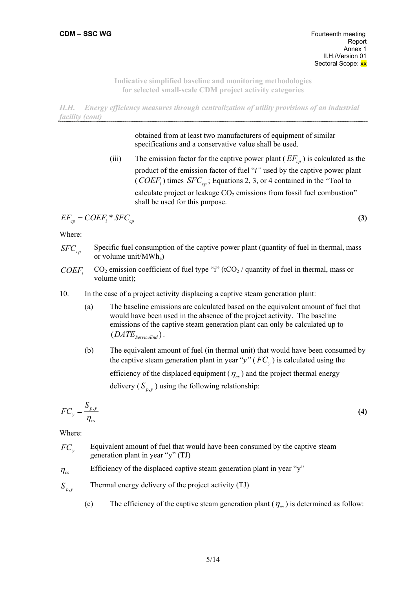*II.H. Energy efficiency measures through centralization of utility provisions of an industrial facility (cont)* 

> obtained from at least two manufacturers of equipment of similar specifications and a conservative value shall be used.

(iii) The emission factor for the captive power plant  $(EF_{c\rho})$  is calculated as the product of the emission factor of fuel "*i"* used by the captive power plant (*COEF<sub>i</sub>*) times *SFC<sub>cp</sub>*; Equations 2, 3, or 4 contained in the "Tool to calculate project or leakage  $CO<sub>2</sub>$  emissions from fossil fuel combustion" shall be used for this purpose.

$$
EF_{cp} = COEF_i * SFC_{cp}
$$
 (3)

Where:

- *SFC<sub>cp</sub>* Specific fuel consumption of the captive power plant (quantity of fuel in thermal, mass or volume unit/MWhe)
- *COEFi*  $CO<sub>2</sub>$  emission coefficient of fuel type "i" (tCO<sub>2</sub> / quantity of fuel in thermal, mass or volume unit);
- 10. In the case of a project activity displacing a captive steam generation plant:
	- (a) The baseline emissions are calculated based on the equivalent amount of fuel that would have been used in the absence of the project activity. The baseline emissions of the captive steam generation plant can only be calculated up to  $(DATE_{ServiceEnd})$ .
	- (b) The equivalent amount of fuel (in thermal unit) that would have been consumed by the captive steam generation plant in year " $y$ " ( $FC<sub>y</sub>$ ) is calculated using the efficiency of the displaced equipment ( $\eta_{cs}$ ) and the project thermal energy delivery  $(S_{p, v})$  using the following relationship:

$$
FC_y = \frac{S_{p,y}}{\eta_{cs}}
$$
 (4)

Where:

- *FC*<sub>y</sub> Equivalent amount of fuel that would have been consumed by the captive steam generation plant in year "y" (TJ)
- $\eta_{cs}$  Efficiency of the displaced captive steam generation plant in year "y"
- $S_{p,v}$  Thermal energy delivery of the project activity (TJ)
	- (c) The efficiency of the captive steam generation plant  $(\eta_{cs})$  is determined as follow: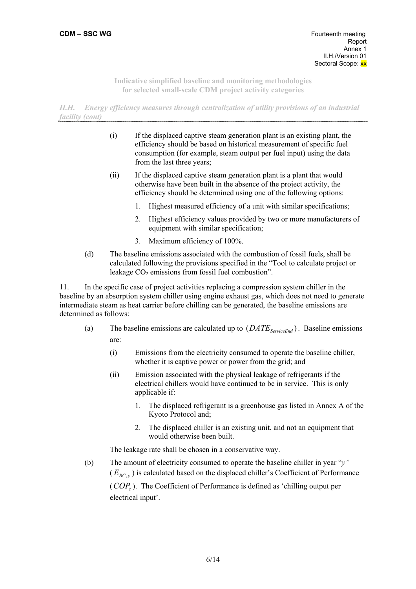*II.H. Energy efficiency measures through centralization of utility provisions of an industrial facility (cont)* 

- (i) If the displaced captive steam generation plant is an existing plant, the efficiency should be based on historical measurement of specific fuel consumption (for example, steam output per fuel input) using the data from the last three years;
- (ii) If the displaced captive steam generation plant is a plant that would otherwise have been built in the absence of the project activity, the efficiency should be determined using one of the following options:
	- 1. Highest measured efficiency of a unit with similar specifications;
	- 2. Highest efficiency values provided by two or more manufacturers of equipment with similar specification;
	- 3. Maximum efficiency of 100%.
- (d) The baseline emissions associated with the combustion of fossil fuels, shall be calculated following the provisions specified in the "Tool to calculate project or leakage  $CO<sub>2</sub>$  emissions from fossil fuel combustion".

11. In the specific case of project activities replacing a compression system chiller in the baseline by an absorption system chiller using engine exhaust gas, which does not need to generate intermediate steam as heat carrier before chilling can be generated, the baseline emissions are determined as follows:

- (a) The baseline emissions are calculated up to  $(DATE_{S$ <sub>erviceEnd</sub>). Baseline emissions are:
	- (i) Emissions from the electricity consumed to operate the baseline chiller, whether it is captive power or power from the grid; and
	- (ii) Emission associated with the physical leakage of refrigerants if the electrical chillers would have continued to be in service. This is only applicable if:
		- 1. The displaced refrigerant is a greenhouse gas listed in Annex A of the Kyoto Protocol and;
		- 2. The displaced chiller is an existing unit, and not an equipment that would otherwise been built.

The leakage rate shall be chosen in a conservative way.

(b) The amount of electricity consumed to operate the baseline chiller in year "*y"*  $(E_{BC, y})$  is calculated based on the displaced chiller's Coefficient of Performance (*COP<sub>c</sub>*). The Coefficient of Performance is defined as 'chilling output per electrical input'.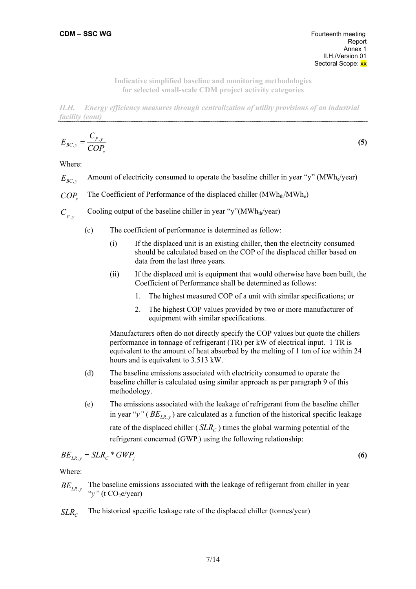*II.H. Energy efficiency measures through centralization of utility provisions of an industrial facility (cont)* 

$$
E_{BC,y} = \frac{C_{P,y}}{COP_c} \tag{5}
$$

Where:

- $E_{BC, y}$  Amount of electricity consumed to operate the baseline chiller in year "y" (MWh<sub>e</sub>/year)
- *COP<sub>c</sub>* The Coefficient of Performance of the displaced chiller (MWh<sub>th</sub>/MWh<sub>e</sub>)
- $C_{p,y}$ Cooling output of the baseline chiller in year "y"(MWh<sub>th</sub>/year)
	- (c) The coefficient of performance is determined as follow:
		- (i) If the displaced unit is an existing chiller, then the electricity consumed should be calculated based on the COP of the displaced chiller based on data from the last three years.
		- (ii) If the displaced unit is equipment that would otherwise have been built, the Coefficient of Performance shall be determined as follows:
			- 1. The highest measured COP of a unit with similar specifications; or
			- 2. The highest COP values provided by two or more manufacturer of equipment with similar specifications.

Manufacturers often do not directly specify the COP values but quote the chillers performance in tonnage of refrigerant (TR) per kW of electrical input. 1 TR is equivalent to the amount of heat absorbed by the melting of 1 ton of ice within 24 hours and is equivalent to 3.513 kW.

- (d) The baseline emissions associated with electricity consumed to operate the baseline chiller is calculated using similar approach as per paragraph 9 of this methodology.
- (e) The emissions associated with the leakage of refrigerant from the baseline chiller in year " $y''$  ( $BE_{LR, y}$ ) are calculated as a function of the historical specific leakage rate of the displaced chiller (*SLR<sub>C</sub>*) times the global warming potential of the refrigerant concerned  $(GWP<sub>i</sub>)$  using the following relationship:

$$
BE_{LR,y} = SLR_C * GWP_j \tag{6}
$$

Where:

- $BE<sub>LR, y</sub>$  The baseline emissions associated with the leakage of refrigerant from chiller in year "*y*" (t CO<sub>2</sub>e/year)
- *SLR<sub>c</sub>* The historical specific leakage rate of the displaced chiller (tonnes/year)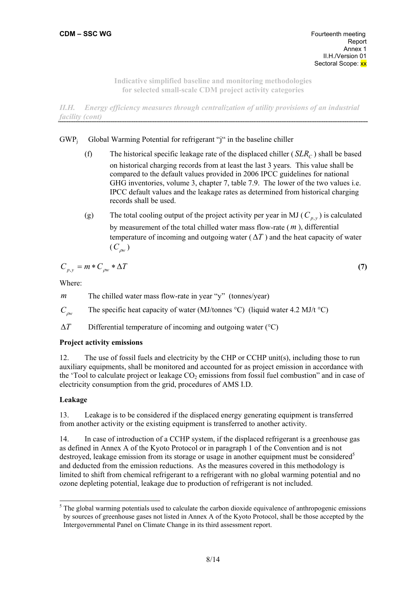*II.H. Energy efficiency measures through centralization of utility provisions of an industrial facility (cont)* 

# $GWP_i$  Global Warming Potential for refrigerant "j" in the baseline chiller

- (f) The historical specific leakage rate of the displaced chiller  $(SLR<sub>C</sub>)$  shall be based on historical charging records from at least the last 3 years. This value shall be compared to the default values provided in 2006 IPCC guidelines for national GHG inventories, volume 3, chapter 7, table 7.9. The lower of the two values i.e. IPCC default values and the leakage rates as determined from historical charging records shall be used.
- (g) The total cooling output of the project activity per year in MJ ( $C_{p, v}$ ) is calculated by measurement of the total chilled water mass flow-rate (*m* ), differential temperature of incoming and outgoing water  $(\Delta T)$  and the heat capacity of water  $(C_{\alpha}$ <sub>*pw*</sub>)

$$
C_{p,y} = m * C_{\rho w} * \Delta T \tag{7}
$$

Where:

*m* The chilled water mass flow-rate in year "y" (tonnes/year)

*C*<sub>ρw</sub> The specific heat capacity of water (MJ/tonnes °C) (liquid water 4.2 MJ/t °C)

∆*T* Differential temperature of incoming and outgoing water (°C)

### **Project activity emissions**

12. The use of fossil fuels and electricity by the CHP or CCHP unit(s), including those to run auxiliary equipments, shall be monitored and accounted for as project emission in accordance with the 'Tool to calculate project or leakage  $CO<sub>2</sub>$  emissions from fossil fuel combustion" and in case of electricity consumption from the grid, procedures of AMS I.D.

# **Leakage**

13. Leakage is to be considered if the displaced energy generating equipment is transferred from another activity or the existing equipment is transferred to another activity.

14. In case of introduction of a CCHP system, if the displaced refrigerant is a greenhouse gas as defined in Annex A of the Kyoto Protocol or in paragraph 1 of the Convention and is not destroyed, leakage emission from its storage or usage in another equipment must be considered<sup>5</sup> and deducted from the emission reductions. As the measures covered in this methodology is limited to shift from chemical refrigerant to a refrigerant with no global warming potential and no ozone depleting potential, leakage due to production of refrigerant is not included.

<sup>&</sup>lt;sup>5</sup> The global warming potentials used to calculate the carbon dioxide equivalence of anthropogenic emissions by sources of greenhouse gases not listed in Annex A of the Kyoto Protocol, shall be those accepted by the Intergovernmental Panel on Climate Change in its third assessment report.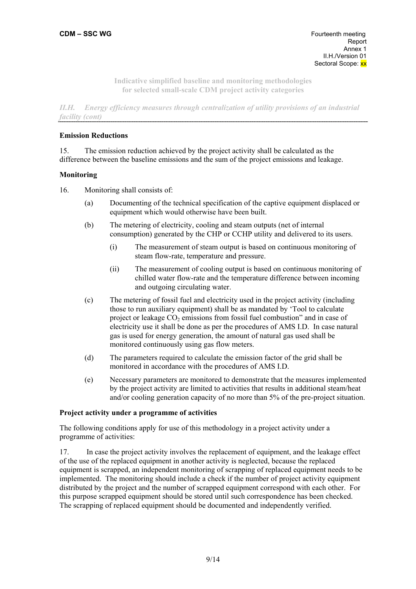*II.H. Energy efficiency measures through centralization of utility provisions of an industrial facility (cont)* 

### **Emission Reductions**

15. The emission reduction achieved by the project activity shall be calculated as the difference between the baseline emissions and the sum of the project emissions and leakage.

### **Monitoring**

16. Monitoring shall consists of:

- (a) Documenting of the technical specification of the captive equipment displaced or equipment which would otherwise have been built.
- (b) The metering of electricity, cooling and steam outputs (net of internal consumption) generated by the CHP or CCHP utility and delivered to its users.
	- (i) The measurement of steam output is based on continuous monitoring of steam flow-rate, temperature and pressure.
	- (ii) The measurement of cooling output is based on continuous monitoring of chilled water flow-rate and the temperature difference between incoming and outgoing circulating water.
- (c) The metering of fossil fuel and electricity used in the project activity (including those to run auxiliary equipment) shall be as mandated by 'Tool to calculate project or leakage  $CO<sub>2</sub>$  emissions from fossil fuel combustion" and in case of electricity use it shall be done as per the procedures of AMS I.D. In case natural gas is used for energy generation, the amount of natural gas used shall be monitored continuously using gas flow meters.
- (d) The parameters required to calculate the emission factor of the grid shall be monitored in accordance with the procedures of AMS I.D.
- (e) Necessary parameters are monitored to demonstrate that the measures implemented by the project activity are limited to activities that results in additional steam/heat and/or cooling generation capacity of no more than 5% of the pre-project situation.

### **Project activity under a programme of activities**

The following conditions apply for use of this methodology in a project activity under a programme of activities:

17. In case the project activity involves the replacement of equipment, and the leakage effect of the use of the replaced equipment in another activity is neglected, because the replaced equipment is scrapped, an independent monitoring of scrapping of replaced equipment needs to be implemented. The monitoring should include a check if the number of project activity equipment distributed by the project and the number of scrapped equipment correspond with each other. For this purpose scrapped equipment should be stored until such correspondence has been checked. The scrapping of replaced equipment should be documented and independently verified.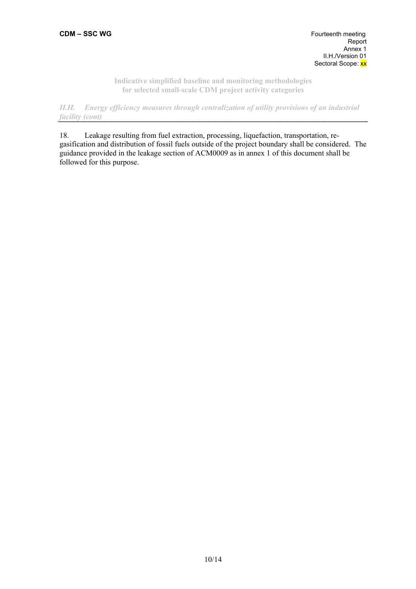*II.H. Energy efficiency measures through centralization of utility provisions of an industrial facility (cont)*  

18. Leakage resulting from fuel extraction, processing, liquefaction, transportation, regasification and distribution of fossil fuels outside of the project boundary shall be considered. The guidance provided in the leakage section of ACM0009 as in annex 1 of this document shall be followed for this purpose.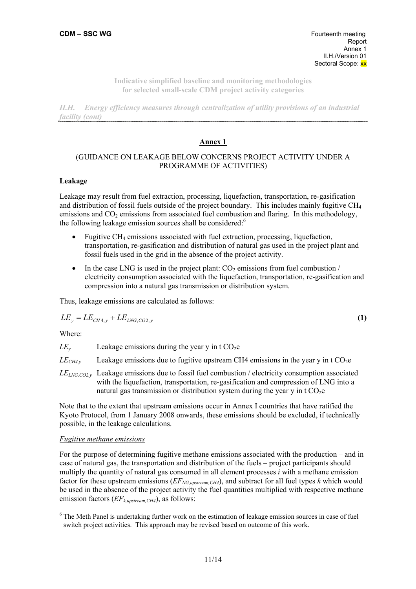*II.H. Energy efficiency measures through centralization of utility provisions of an industrial facility (cont)* 

### **Annex 1**

## (GUIDANCE ON LEAKAGE BELOW CONCERNS PROJECT ACTIVITY UNDER A PROGRAMME OF ACTIVITIES)

#### **Leakage**

Leakage may result from fuel extraction, processing, liquefaction, transportation, re-gasification and distribution of fossil fuels outside of the project boundary. This includes mainly fugitive CH4 emissions and  $CO<sub>2</sub>$  emissions from associated fuel combustion and flaring. In this methodology, the following leakage emission sources shall be considered:<sup>6</sup>

- Fugitive CH4 emissions associated with fuel extraction, processing, liquefaction, transportation, re-gasification and distribution of natural gas used in the project plant and fossil fuels used in the grid in the absence of the project activity.
- In the case LNG is used in the project plant:  $CO<sub>2</sub>$  emissions from fuel combustion / electricity consumption associated with the liquefaction, transportation, re-gasification and compression into a natural gas transmission or distribution system.

Thus, leakage emissions are calculated as follows:

$$
LE_y = LE_{CH4,y} + LE_{LNG, CO2,y} \tag{1}
$$

Where:

 $\overline{a}$ 

 $LE<sub>v</sub>$  Leakage emissions during the year y in t CO<sub>2</sub>e

 $LE<sub>CH4y</sub>$  Leakage emissions due to fugitive upstream CH4 emissions in the year y in t CO<sub>2</sub>e

*LELNG,CO2,y* Leakage emissions due to fossil fuel combustion / electricity consumption associated with the liquefaction, transportation, re-gasification and compression of LNG into a natural gas transmission or distribution system during the year y in t  $CO<sub>2</sub>e$ 

Note that to the extent that upstream emissions occur in Annex I countries that have ratified the Kyoto Protocol, from 1 January 2008 onwards, these emissions should be excluded, if technically possible, in the leakage calculations.

### *Fugitive methane emissions*

For the purpose of determining fugitive methane emissions associated with the production – and in case of natural gas, the transportation and distribution of the fuels – project participants should multiply the quantity of natural gas consumed in all element processes *i* with a methane emission factor for these upstream emissions ( $EF_{NG, upstream, CH4}$ ), and subtract for all fuel types *k* which would be used in the absence of the project activity the fuel quantities multiplied with respective methane emission factors (*EFk,upstream,CH4*), as follows:

<sup>&</sup>lt;sup>6</sup> The Meth Panel is undertaking further work on the estimation of leakage emission sources in case of fuel switch project activities. This approach may be revised based on outcome of this work.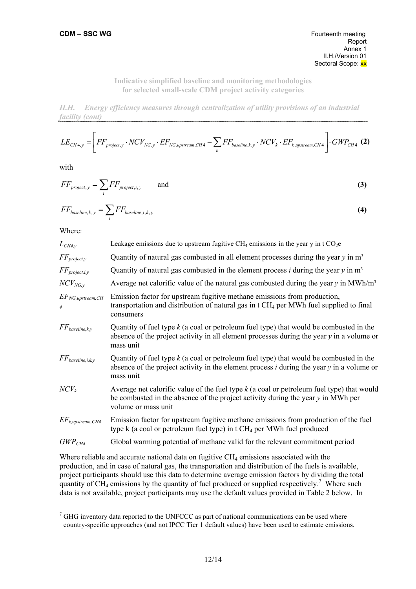*II.H. Energy efficiency measures through centralization of utility provisions of an industrial facility (cont)* 

$$
LE_{CH4,y} = \left[ FF_{project,y} \cdot NCV_{NG,y} \cdot EF_{NG, upstream, CH4} - \sum_{k} FF_{baseline,k,y} \cdot NCV_{k} \cdot EF_{k, upstream, CH4} \right] \cdot GWP_{CH4} \text{ (2)}
$$

with

$$
FF_{project, y} = \sum_{i} FF_{project, i, y} \qquad \text{and} \tag{3}
$$

$$
FF_{baseline,k,y} = \sum_{i} FF_{baseline,i,k,y}
$$
 (4)

Where:

 $\overline{a}$ 

| $L_{CH4,y}$                               | Leakage emissions due to upstream fugitive $CH_4$ emissions in the year y in t $CO_2e$                                                                                                                   |
|-------------------------------------------|----------------------------------------------------------------------------------------------------------------------------------------------------------------------------------------------------------|
| $FF_{project, y}$                         | Quantity of natural gas combusted in all element processes during the year $y$ in $m3$                                                                                                                   |
| $FF_{project,i,y}$                        | Quantity of natural gas combusted in the element process $i$ during the year $y$ in $m3$                                                                                                                 |
| $NCV_{NG, v}$                             | Average net calorific value of the natural gas combusted during the year $y$ in MWh/m <sup>3</sup>                                                                                                       |
| $EF_{NG, upstream, CH}$<br>$\overline{4}$ | Emission factor for upstream fugitive methane emissions from production,<br>transportation and distribution of natural gas in $tCH_4$ per MWh fuel supplied to final<br>consumers                        |
| $FF_{baseline,k,y}$                       | Quantity of fuel type $k$ (a coal or petroleum fuel type) that would be combusted in the<br>absence of the project activity in all element processes during the year $y$ in a volume or<br>mass unit     |
| $FF_{baseline,i,k,y}$                     | Quantity of fuel type $k$ (a coal or petroleum fuel type) that would be combusted in the<br>absence of the project activity in the element process $i$ during the year $y$ in a volume or<br>mass unit   |
| $NCV_k$                                   | Average net calorific value of the fuel type $k$ (a coal or petroleum fuel type) that would<br>be combusted in the absence of the project activity during the year $y$ in MWh per<br>volume or mass unit |
| $EF_{k,upstream, CH4}$                    | Emission factor for upstream fugitive methane emissions from production of the fuel<br>type $k$ (a coal or petroleum fuel type) in t $CH_4$ per MWh fuel produced                                        |
| $GWP_{CH4}$                               | Global warming potential of methane valid for the relevant commitment period                                                                                                                             |

Where reliable and accurate national data on fugitive  $CH<sub>4</sub>$  emissions associated with the production, and in case of natural gas, the transportation and distribution of the fuels is available, project participants should use this data to determine average emission factors by dividing the total quantity of  $\text{CH}_4$  emissions by the quantity of fuel produced or supplied respectively.<sup>7</sup> Where such data is not available, project participants may use the default values provided in Table 2 below. In

 $7$  GHG inventory data reported to the UNFCCC as part of national communications can be used where country-specific approaches (and not IPCC Tier 1 default values) have been used to estimate emissions.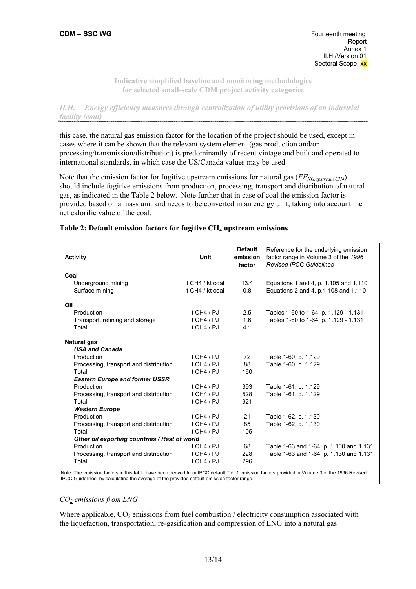*II.H. Energy efficiency measures through centralization of utility provisions of an industrial facility (cont)* 

this case, the natural gas emission factor for the location of the project should be used, except in cases where it can be shown that the relevant system element (gas production and/or processing/transmission/distribution) is predominantly of recent vintage and built and operated to international standards, in which case the US/Canada values may be used.

Note that the emission factor for fugitive upstream emissions for natural gas ( $EF_{NG, upstream,CH4}$ ) should include fugitive emissions from production, processing, transport and distribution of natural gas, as indicated in the Table 2 below. Note further that in case of coal the emission factor is provided based on a mass unit and needs to be converted in an energy unit, taking into account the net calorific value of the coal.

| <b>Activity</b>                               | Unit            | <b>Default</b><br>emission<br>factor | Reference for the underlying emission<br>factor range in Volume 3 of the 1996<br><b>Revised IPCC Guidelines</b> |
|-----------------------------------------------|-----------------|--------------------------------------|-----------------------------------------------------------------------------------------------------------------|
| Coal                                          |                 |                                      |                                                                                                                 |
| Underground mining                            | t CH4 / kt coal | 13.4                                 | Equations 1 and 4, p. 1.105 and 1.110                                                                           |
| Surface mining                                | t CH4 / kt coal | 0.8                                  | Equations 2 and 4, p.1.108 and 1.110                                                                            |
| Oil                                           |                 |                                      |                                                                                                                 |
| Production                                    | $t$ CH4 / PJ    | 2.5                                  | Tables 1-60 to 1-64, p. 1.129 - 1.131                                                                           |
| Transport, refining and storage               | $t$ CH4 / PJ    | 1.6                                  | Tables 1-60 to 1-64, p. 1.129 - 1.131                                                                           |
| Total                                         | $t$ CH4 / PJ    | 4.1                                  |                                                                                                                 |
| <b>Natural gas</b>                            |                 |                                      |                                                                                                                 |
| <b>USA and Canada</b>                         |                 |                                      |                                                                                                                 |
| Production                                    | $t$ CH4 / PJ    | 72                                   | Table 1-60, p. 1.129                                                                                            |
| Processing, transport and distribution        | $t$ CH4 / PJ    | 88                                   | Table 1-60, p. 1.129                                                                                            |
| Total                                         | t CH4 / $PI$    | 160                                  |                                                                                                                 |
| <b>Eastern Europe and former USSR</b>         |                 |                                      |                                                                                                                 |
| Production                                    | $t$ CH4 / PJ    | 393                                  | Table 1-61, p. 1.129                                                                                            |
| Processing, transport and distribution        | $t$ CH4 / PJ    | 528                                  | Table 1-61, p. 1.129                                                                                            |
| Total                                         | $t$ CH4 / PJ    | 921                                  |                                                                                                                 |
| <b>Western Europe</b>                         |                 |                                      |                                                                                                                 |
| Production                                    | $t$ CH4 / PJ    | 21                                   | Table 1-62, p. 1.130                                                                                            |
| Processing, transport and distribution        | $t$ CH4 / PJ    | 85                                   | Table 1-62, p. 1.130                                                                                            |
| Total                                         | $t$ CH4 / PJ    | 105                                  |                                                                                                                 |
| Other oil exporting countries / Rest of world |                 |                                      |                                                                                                                 |
| Production                                    | $t$ CH4 / PJ    | 68                                   | Table 1-63 and 1-64, p. 1.130 and 1.131                                                                         |
| Processing, transport and distribution        | $t$ CH4 / PJ    | 228                                  | Table 1-63 and 1-64, p. 1.130 and 1.131                                                                         |
| Total                                         | $t$ CH4 / PJ    | 296                                  |                                                                                                                 |

### Table 2: Default emission factors for fugitive CH<sub>4</sub> upstream emissions

IPCC Guidelines, by calculating the average of the provided default emission factor range.

# *CO2 emissions from LNG*

Where applicable,  $CO<sub>2</sub>$  emissions from fuel combustion / electricity consumption associated with the liquefaction, transportation, re-gasification and compression of LNG into a natural gas